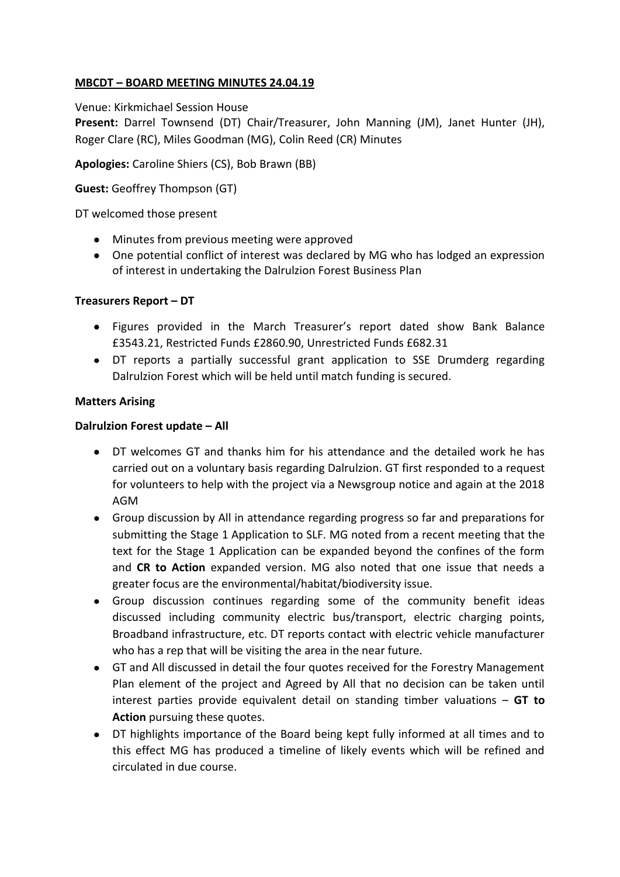# **MBCDT – BOARD MEETING MINUTES 24.04.19**

Venue: Kirkmichael Session House

**Present:** Darrel Townsend (DT) Chair/Treasurer, John Manning (JM), Janet Hunter (JH), Roger Clare (RC), Miles Goodman (MG), Colin Reed (CR) Minutes

**Apologies:** Caroline Shiers (CS), Bob Brawn (BB)

**Guest:** Geoffrey Thompson (GT)

DT welcomed those present

- Minutes from previous meeting were approved
- One potential conflict of interest was declared by MG who has lodged an expression of interest in undertaking the Dalrulzion Forest Business Plan

### **Treasurers Report – DT**

- Figures provided in the March Treasurer's report dated show Bank Balance £3543.21, Restricted Funds £2860.90, Unrestricted Funds £682.31
- DT reports a partially successful grant application to SSE Drumderg regarding Dalrulzion Forest which will be held until match funding is secured.

## **Matters Arising**

## **Dalrulzion Forest update – All**

- DT welcomes GT and thanks him for his attendance and the detailed work he has carried out on a voluntary basis regarding Dalrulzion. GT first responded to a request for volunteers to help with the project via a Newsgroup notice and again at the 2018 AGM
- Group discussion by All in attendance regarding progress so far and preparations for submitting the Stage 1 Application to SLF. MG noted from a recent meeting that the text for the Stage 1 Application can be expanded beyond the confines of the form and **CR to Action** expanded version. MG also noted that one issue that needs a greater focus are the environmental/habitat/biodiversity issue.
- Group discussion continues regarding some of the community benefit ideas discussed including community electric bus/transport, electric charging points, Broadband infrastructure, etc. DT reports contact with electric vehicle manufacturer who has a rep that will be visiting the area in the near future.
- GT and All discussed in detail the four quotes received for the Forestry Management Plan element of the project and Agreed by All that no decision can be taken until interest parties provide equivalent detail on standing timber valuations – **GT to Action** pursuing these quotes.
- DT highlights importance of the Board being kept fully informed at all times and to this effect MG has produced a timeline of likely events which will be refined and circulated in due course.